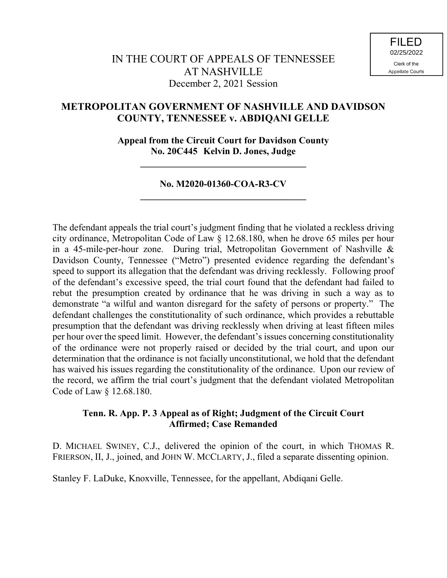# **METROPOLITAN GOVERNMENT OF NASHVILLE AND DAVIDSON COUNTY, TENNESSEE v. ABDIQANI GELLE**

**Appeal from the Circuit Court for Davidson County No. 20C445 Kelvin D. Jones, Judge**

**\_\_\_\_\_\_\_\_\_\_\_\_\_\_\_\_\_\_\_\_\_\_\_\_\_\_\_\_\_\_\_\_\_\_\_**

## **No. M2020-01360-COA-R3-CV \_\_\_\_\_\_\_\_\_\_\_\_\_\_\_\_\_\_\_\_\_\_\_\_\_\_\_\_\_\_\_\_\_\_\_**

The defendant appeals the trial court's judgment finding that he violated a reckless driving city ordinance, Metropolitan Code of Law § 12.68.180, when he drove 65 miles per hour in a 45-mile-per-hour zone. During trial, Metropolitan Government of Nashville & Davidson County, Tennessee ("Metro") presented evidence regarding the defendant's speed to support its allegation that the defendant was driving recklessly. Following proof of the defendant's excessive speed, the trial court found that the defendant had failed to rebut the presumption created by ordinance that he was driving in such a way as to demonstrate "a wilful and wanton disregard for the safety of persons or property." The defendant challenges the constitutionality of such ordinance, which provides a rebuttable presumption that the defendant was driving recklessly when driving at least fifteen miles per hour over the speed limit. However, the defendant's issues concerning constitutionality of the ordinance were not properly raised or decided by the trial court, and upon our determination that the ordinance is not facially unconstitutional, we hold that the defendant has waived his issues regarding the constitutionality of the ordinance. Upon our review of the record, we affirm the trial court's judgment that the defendant violated Metropolitan Code of Law § 12.68.180.

### **Tenn. R. App. P. 3 Appeal as of Right; Judgment of the Circuit Court Affirmed; Case Remanded**

D. MICHAEL SWINEY, C.J., delivered the opinion of the court, in which THOMAS R. FRIERSON, II, J., joined, and JOHN W. MCCLARTY, J., filed a separate dissenting opinion.

Stanley F. LaDuke, Knoxville, Tennessee, for the appellant, Abdiqani Gelle.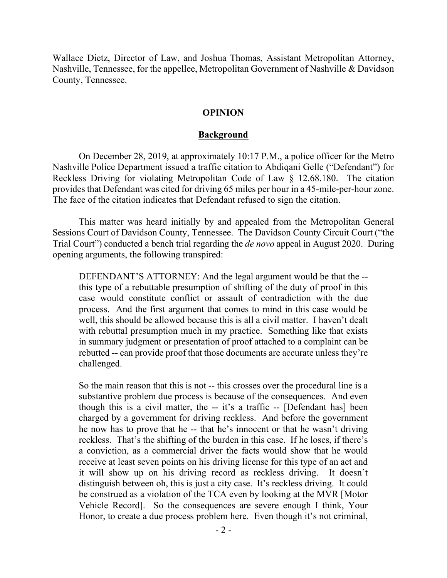Wallace Dietz, Director of Law, and Joshua Thomas, Assistant Metropolitan Attorney, Nashville, Tennessee, for the appellee, Metropolitan Government of Nashville & Davidson County, Tennessee.

### **OPINION**

#### **Background**

On December 28, 2019, at approximately 10:17 P.M., a police officer for the Metro Nashville Police Department issued a traffic citation to Abdiqani Gelle ("Defendant") for Reckless Driving for violating Metropolitan Code of Law § 12.68.180. The citation provides that Defendant was cited for driving 65 miles per hour in a 45-mile-per-hour zone. The face of the citation indicates that Defendant refused to sign the citation.

This matter was heard initially by and appealed from the Metropolitan General Sessions Court of Davidson County, Tennessee. The Davidson County Circuit Court ("the Trial Court") conducted a bench trial regarding the *de novo* appeal in August 2020. During opening arguments, the following transpired:

DEFENDANT'S ATTORNEY: And the legal argument would be that the - this type of a rebuttable presumption of shifting of the duty of proof in this case would constitute conflict or assault of contradiction with the due process. And the first argument that comes to mind in this case would be well, this should be allowed because this is all a civil matter. I haven't dealt with rebuttal presumption much in my practice. Something like that exists in summary judgment or presentation of proof attached to a complaint can be rebutted -- can provide proof that those documents are accurate unless they're challenged.

So the main reason that this is not -- this crosses over the procedural line is a substantive problem due process is because of the consequences. And even though this is a civil matter, the -- it's a traffic -- [Defendant has] been charged by a government for driving reckless. And before the government he now has to prove that he -- that he's innocent or that he wasn't driving reckless. That's the shifting of the burden in this case. If he loses, if there's a conviction, as a commercial driver the facts would show that he would receive at least seven points on his driving license for this type of an act and it will show up on his driving record as reckless driving. It doesn't distinguish between oh, this is just a city case. It's reckless driving. It could be construed as a violation of the TCA even by looking at the MVR [Motor Vehicle Record]. So the consequences are severe enough I think, Your Honor, to create a due process problem here. Even though it's not criminal,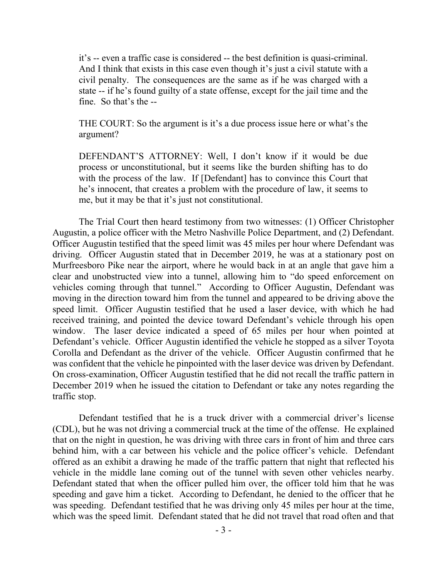it's -- even a traffic case is considered -- the best definition is quasi-criminal. And I think that exists in this case even though it's just a civil statute with a civil penalty. The consequences are the same as if he was charged with a state -- if he's found guilty of a state offense, except for the jail time and the fine. So that's the --

THE COURT: So the argument is it's a due process issue here or what's the argument?

DEFENDANT'S ATTORNEY: Well, I don't know if it would be due process or unconstitutional, but it seems like the burden shifting has to do with the process of the law. If [Defendant] has to convince this Court that he's innocent, that creates a problem with the procedure of law, it seems to me, but it may be that it's just not constitutional.

The Trial Court then heard testimony from two witnesses: (1) Officer Christopher Augustin, a police officer with the Metro Nashville Police Department, and (2) Defendant. Officer Augustin testified that the speed limit was 45 miles per hour where Defendant was driving. Officer Augustin stated that in December 2019, he was at a stationary post on Murfreesboro Pike near the airport, where he would back in at an angle that gave him a clear and unobstructed view into a tunnel, allowing him to "do speed enforcement on vehicles coming through that tunnel." According to Officer Augustin, Defendant was moving in the direction toward him from the tunnel and appeared to be driving above the speed limit. Officer Augustin testified that he used a laser device, with which he had received training, and pointed the device toward Defendant's vehicle through his open window. The laser device indicated a speed of 65 miles per hour when pointed at Defendant's vehicle. Officer Augustin identified the vehicle he stopped as a silver Toyota Corolla and Defendant as the driver of the vehicle. Officer Augustin confirmed that he was confident that the vehicle he pinpointed with the laser device was driven by Defendant. On cross-examination, Officer Augustin testified that he did not recall the traffic pattern in December 2019 when he issued the citation to Defendant or take any notes regarding the traffic stop.

Defendant testified that he is a truck driver with a commercial driver's license (CDL), but he was not driving a commercial truck at the time of the offense. He explained that on the night in question, he was driving with three cars in front of him and three cars behind him, with a car between his vehicle and the police officer's vehicle. Defendant offered as an exhibit a drawing he made of the traffic pattern that night that reflected his vehicle in the middle lane coming out of the tunnel with seven other vehicles nearby. Defendant stated that when the officer pulled him over, the officer told him that he was speeding and gave him a ticket. According to Defendant, he denied to the officer that he was speeding. Defendant testified that he was driving only 45 miles per hour at the time, which was the speed limit. Defendant stated that he did not travel that road often and that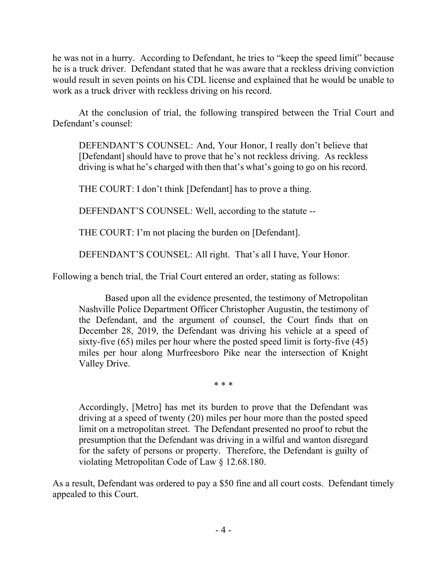he was not in a hurry. According to Defendant, he tries to "keep the speed limit" because he is a truck driver. Defendant stated that he was aware that a reckless driving conviction would result in seven points on his CDL license and explained that he would be unable to work as a truck driver with reckless driving on his record.

At the conclusion of trial, the following transpired between the Trial Court and Defendant's counsel:

DEFENDANT'S COUNSEL: And, Your Honor, I really don't believe that [Defendant] should have to prove that he's not reckless driving. As reckless driving is what he's charged with then that's what's going to go on his record.

THE COURT: I don't think [Defendant] has to prove a thing.

DEFENDANT'S COUNSEL: Well, according to the statute --

THE COURT: I'm not placing the burden on [Defendant].

DEFENDANT'S COUNSEL: All right. That's all I have, Your Honor.

Following a bench trial, the Trial Court entered an order, stating as follows:

Based upon all the evidence presented, the testimony of Metropolitan Nashville Police Department Officer Christopher Augustin, the testimony of the Defendant, and the argument of counsel, the Court finds that on December 28, 2019, the Defendant was driving his vehicle at a speed of sixty-five (65) miles per hour where the posted speed limit is forty-five (45) miles per hour along Murfreesboro Pike near the intersection of Knight Valley Drive.

\* \* \*

Accordingly, [Metro] has met its burden to prove that the Defendant was driving at a speed of twenty (20) miles per hour more than the posted speed limit on a metropolitan street. The Defendant presented no proof to rebut the presumption that the Defendant was driving in a wilful and wanton disregard for the safety of persons or property. Therefore, the Defendant is guilty of violating Metropolitan Code of Law § 12.68.180.

As a result, Defendant was ordered to pay a \$50 fine and all court costs. Defendant timely appealed to this Court.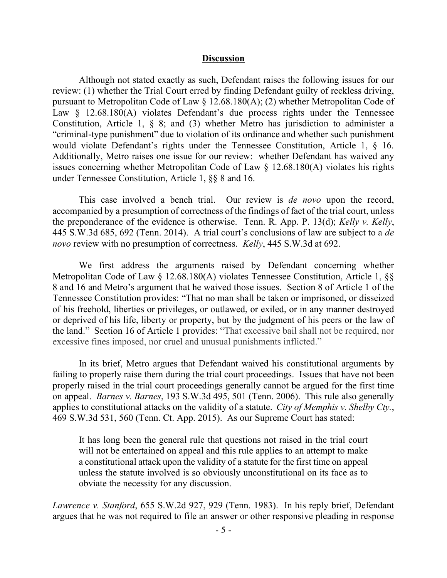#### **Discussion**

Although not stated exactly as such, Defendant raises the following issues for our review: (1) whether the Trial Court erred by finding Defendant guilty of reckless driving, pursuant to Metropolitan Code of Law § 12.68.180(A); (2) whether Metropolitan Code of Law  $\&$  12.68.180(A) violates Defendant's due process rights under the Tennessee Constitution, Article 1, § 8; and (3) whether Metro has jurisdiction to administer a "criminal-type punishment" due to violation of its ordinance and whether such punishment would violate Defendant's rights under the Tennessee Constitution, Article 1, § 16. Additionally, Metro raises one issue for our review: whether Defendant has waived any issues concerning whether Metropolitan Code of Law  $\S$  12.68.180(A) violates his rights under Tennessee Constitution, Article 1, §§ 8 and 16.

This case involved a bench trial. Our review is *de novo* upon the record, accompanied by a presumption of correctness of the findings of fact of the trial court, unless the preponderance of the evidence is otherwise. Tenn. R. App. P. 13(d); *Kelly v. Kelly*, 445 S.W.3d 685, 692 (Tenn. 2014). A trial court's conclusions of law are subject to a *de novo* review with no presumption of correctness. *Kelly*, 445 S.W.3d at 692.

We first address the arguments raised by Defendant concerning whether Metropolitan Code of Law § 12.68.180(A) violates Tennessee Constitution, Article 1, §§ 8 and 16 and Metro's argument that he waived those issues. Section 8 of Article 1 of the Tennessee Constitution provides: "That no man shall be taken or imprisoned, or disseized of his freehold, liberties or privileges, or outlawed, or exiled, or in any manner destroyed or deprived of his life, liberty or property, but by the judgment of his peers or the law of the land." Section 16 of Article 1 provides: "That excessive bail shall not be required, nor excessive fines imposed, nor cruel and unusual punishments inflicted."

In its brief, Metro argues that Defendant waived his constitutional arguments by failing to properly raise them during the trial court proceedings. Issues that have not been properly raised in the trial court proceedings generally cannot be argued for the first time on appeal. *Barnes v. Barnes*, 193 S.W.3d 495, 501 (Tenn. 2006). This rule also generally applies to constitutional attacks on the validity of a statute. *City of Memphis v. Shelby Cty.*, 469 S.W.3d 531, 560 (Tenn. Ct. App. 2015). As our Supreme Court has stated:

It has long been the general rule that questions not raised in the trial court will not be entertained on appeal and this rule applies to an attempt to make a constitutional attack upon the validity of a statute for the first time on appeal unless the statute involved is so obviously unconstitutional on its face as to obviate the necessity for any discussion.

*Lawrence v. Stanford*, 655 S.W.2d 927, 929 (Tenn. 1983). In his reply brief, Defendant argues that he was not required to file an answer or other responsive pleading in response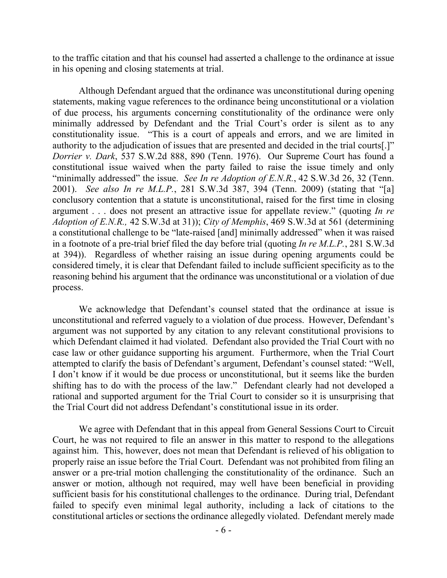to the traffic citation and that his counsel had asserted a challenge to the ordinance at issue in his opening and closing statements at trial.

Although Defendant argued that the ordinance was unconstitutional during opening statements, making vague references to the ordinance being unconstitutional or a violation of due process, his arguments concerning constitutionality of the ordinance were only minimally addressed by Defendant and the Trial Court's order is silent as to any constitutionality issue. "This is a court of appeals and errors, and we are limited in authority to the adjudication of issues that are presented and decided in the trial courts[.]" *Dorrier v. Dark*, 537 S.W.2d 888, 890 (Tenn. 1976). Our Supreme Court has found a constitutional issue waived when the party failed to raise the issue timely and only "minimally addressed" the issue. *See In re Adoption of E.N.R.*, 42 S.W.3d 26, 32 (Tenn. 2001). *See also In re M.L.P.*, 281 S.W.3d 387, 394 (Tenn. 2009) (stating that "[a] conclusory contention that a statute is unconstitutional, raised for the first time in closing argument . . . does not present an attractive issue for appellate review." (quoting *In re Adoption of E.N.R.,* 42 S.W.3d at 31)); *City of Memphis*, 469 S.W.3d at 561 (determining a constitutional challenge to be "late-raised [and] minimally addressed" when it was raised in a footnote of a pre-trial brief filed the day before trial (quoting *In re M.L.P.*, 281 S.W.3d at 394)). Regardless of whether raising an issue during opening arguments could be considered timely, it is clear that Defendant failed to include sufficient specificity as to the reasoning behind his argument that the ordinance was unconstitutional or a violation of due process.

We acknowledge that Defendant's counsel stated that the ordinance at issue is unconstitutional and referred vaguely to a violation of due process. However, Defendant's argument was not supported by any citation to any relevant constitutional provisions to which Defendant claimed it had violated. Defendant also provided the Trial Court with no case law or other guidance supporting his argument. Furthermore, when the Trial Court attempted to clarify the basis of Defendant's argument, Defendant's counsel stated: "Well, I don't know if it would be due process or unconstitutional, but it seems like the burden shifting has to do with the process of the law." Defendant clearly had not developed a rational and supported argument for the Trial Court to consider so it is unsurprising that the Trial Court did not address Defendant's constitutional issue in its order.

We agree with Defendant that in this appeal from General Sessions Court to Circuit Court, he was not required to file an answer in this matter to respond to the allegations against him. This, however, does not mean that Defendant is relieved of his obligation to properly raise an issue before the Trial Court. Defendant was not prohibited from filing an answer or a pre-trial motion challenging the constitutionality of the ordinance. Such an answer or motion, although not required, may well have been beneficial in providing sufficient basis for his constitutional challenges to the ordinance. During trial, Defendant failed to specify even minimal legal authority, including a lack of citations to the constitutional articles or sections the ordinance allegedly violated. Defendant merely made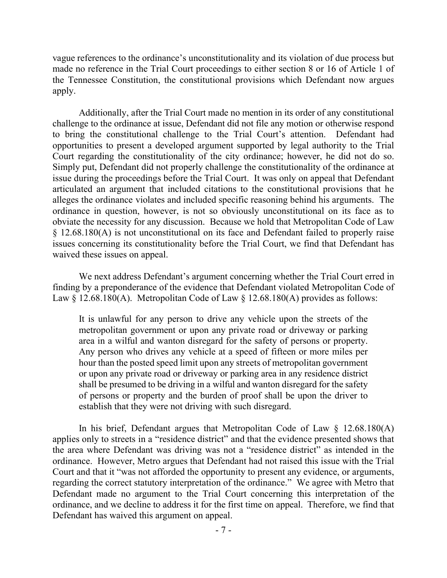vague references to the ordinance's unconstitutionality and its violation of due process but made no reference in the Trial Court proceedings to either section 8 or 16 of Article 1 of the Tennessee Constitution, the constitutional provisions which Defendant now argues apply.

Additionally, after the Trial Court made no mention in its order of any constitutional challenge to the ordinance at issue, Defendant did not file any motion or otherwise respond to bring the constitutional challenge to the Trial Court's attention. Defendant had opportunities to present a developed argument supported by legal authority to the Trial Court regarding the constitutionality of the city ordinance; however, he did not do so. Simply put, Defendant did not properly challenge the constitutionality of the ordinance at issue during the proceedings before the Trial Court. It was only on appeal that Defendant articulated an argument that included citations to the constitutional provisions that he alleges the ordinance violates and included specific reasoning behind his arguments. The ordinance in question, however, is not so obviously unconstitutional on its face as to obviate the necessity for any discussion. Because we hold that Metropolitan Code of Law § 12.68.180(A) is not unconstitutional on its face and Defendant failed to properly raise issues concerning its constitutionality before the Trial Court, we find that Defendant has waived these issues on appeal.

We next address Defendant's argument concerning whether the Trial Court erred in finding by a preponderance of the evidence that Defendant violated Metropolitan Code of Law  $\S$  12.68.180(A). Metropolitan Code of Law  $\S$  12.68.180(A) provides as follows:

It is unlawful for any person to drive any vehicle upon the streets of the metropolitan government or upon any private road or driveway or parking area in a wilful and wanton disregard for the safety of persons or property. Any person who drives any vehicle at a speed of fifteen or more miles per hour than the posted speed limit upon any streets of metropolitan government or upon any private road or driveway or parking area in any residence district shall be presumed to be driving in a wilful and wanton disregard for the safety of persons or property and the burden of proof shall be upon the driver to establish that they were not driving with such disregard.

In his brief, Defendant argues that Metropolitan Code of Law  $\S$  12.68.180(A) applies only to streets in a "residence district" and that the evidence presented shows that the area where Defendant was driving was not a "residence district" as intended in the ordinance. However, Metro argues that Defendant had not raised this issue with the Trial Court and that it "was not afforded the opportunity to present any evidence, or arguments, regarding the correct statutory interpretation of the ordinance." We agree with Metro that Defendant made no argument to the Trial Court concerning this interpretation of the ordinance, and we decline to address it for the first time on appeal. Therefore, we find that Defendant has waived this argument on appeal.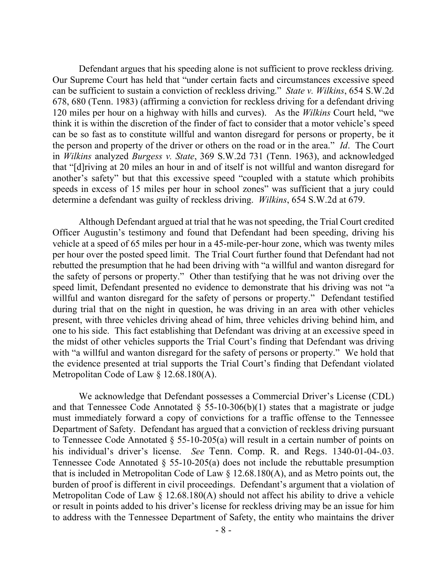Defendant argues that his speeding alone is not sufficient to prove reckless driving. Our Supreme Court has held that "under certain facts and circumstances excessive speed can be sufficient to sustain a conviction of reckless driving." *State v. Wilkins*, 654 S.W.2d 678, 680 (Tenn. 1983) (affirming a conviction for reckless driving for a defendant driving 120 miles per hour on a highway with hills and curves). As the *Wilkins* Court held, "we think it is within the discretion of the finder of fact to consider that a motor vehicle's speed can be so fast as to constitute willful and wanton disregard for persons or property, be it the person and property of the driver or others on the road or in the area." *Id*. The Court in *Wilkins* analyzed *Burgess v. State*, 369 S.W.2d 731 (Tenn. 1963), and acknowledged that "[d]riving at 20 miles an hour in and of itself is not willful and wanton disregard for another's safety" but that this excessive speed "coupled with a statute which prohibits speeds in excess of 15 miles per hour in school zones" was sufficient that a jury could determine a defendant was guilty of reckless driving. *Wilkins*, 654 S.W.2d at 679.

Although Defendant argued at trial that he was not speeding, the Trial Court credited Officer Augustin's testimony and found that Defendant had been speeding, driving his vehicle at a speed of 65 miles per hour in a 45-mile-per-hour zone, which was twenty miles per hour over the posted speed limit. The Trial Court further found that Defendant had not rebutted the presumption that he had been driving with "a willful and wanton disregard for the safety of persons or property." Other than testifying that he was not driving over the speed limit, Defendant presented no evidence to demonstrate that his driving was not "a willful and wanton disregard for the safety of persons or property." Defendant testified during trial that on the night in question, he was driving in an area with other vehicles present, with three vehicles driving ahead of him, three vehicles driving behind him, and one to his side. This fact establishing that Defendant was driving at an excessive speed in the midst of other vehicles supports the Trial Court's finding that Defendant was driving with "a willful and wanton disregard for the safety of persons or property." We hold that the evidence presented at trial supports the Trial Court's finding that Defendant violated Metropolitan Code of Law § 12.68.180(A).

We acknowledge that Defendant possesses a Commercial Driver's License (CDL) and that Tennessee Code Annotated  $\S$  55-10-306(b)(1) states that a magistrate or judge must immediately forward a copy of convictions for a traffic offense to the Tennessee Department of Safety. Defendant has argued that a conviction of reckless driving pursuant to Tennessee Code Annotated  $\S$  55-10-205(a) will result in a certain number of points on his individual's driver's license. *See* Tenn. Comp. R. and Regs. 1340-01-04-.03. Tennessee Code Annotated § 55-10-205(a) does not include the rebuttable presumption that is included in Metropolitan Code of Law  $\S$  12.68.180(A), and as Metro points out, the burden of proof is different in civil proceedings. Defendant's argument that a violation of Metropolitan Code of Law § 12.68.180(A) should not affect his ability to drive a vehicle or result in points added to his driver's license for reckless driving may be an issue for him to address with the Tennessee Department of Safety, the entity who maintains the driver